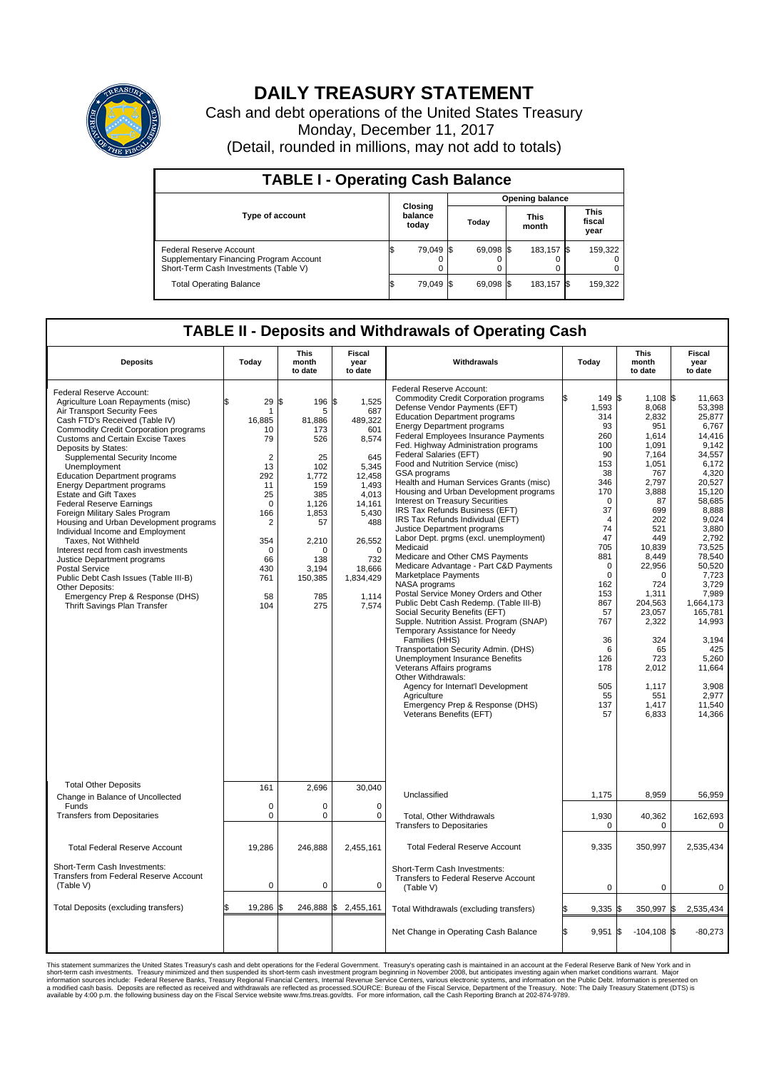

## **DAILY TREASURY STATEMENT**

Cash and debt operations of the United States Treasury Monday, December 11, 2017 (Detail, rounded in millions, may not add to totals)

| <b>TABLE I - Operating Cash Balance</b>                                                                     |                             |           |       |                        |                      |            |  |                               |  |  |
|-------------------------------------------------------------------------------------------------------------|-----------------------------|-----------|-------|------------------------|----------------------|------------|--|-------------------------------|--|--|
|                                                                                                             |                             |           |       | <b>Opening balance</b> |                      |            |  |                               |  |  |
| <b>Type of account</b>                                                                                      | Closing<br>balance<br>today |           | Todav |                        | <b>This</b><br>month |            |  | <b>This</b><br>fiscal<br>year |  |  |
| Federal Reserve Account<br>Supplementary Financing Program Account<br>Short-Term Cash Investments (Table V) |                             | 79,049 \$ |       | 69.098 \$              |                      | 183.157 \$ |  | 159,322                       |  |  |
| <b>Total Operating Balance</b>                                                                              |                             | 79,049 \$ |       | 69,098 \$              |                      | 183,157 \$ |  | 159,322                       |  |  |

## **TABLE II - Deposits and Withdrawals of Operating Cash**

| <b>Deposits</b>                                                                                                                                                                                                                                                                                                                                                                                                                                                                                                                                                                                                                                                                                                                                                                                                        | Today                                                                                                                                                            | <b>This</b><br>month<br>to date                                                                                                                           | <b>Fiscal</b><br>year<br>to date                                                                                                                                                          | Withdrawals                                                                                                                                                                                                                                                                                                                                                                                                                                                                                                                                                                                                                                                                                                                                                                                                                                                                                                                                                                                                                                                                                                                                                                                                                                | Today                                                                                                                                                                                                                                                     | <b>This</b><br>month<br>to date                                                                                                                                                                                                                                                   | Fiscal<br>year<br>to date                                                                                                                                                                                                                                                                                                |
|------------------------------------------------------------------------------------------------------------------------------------------------------------------------------------------------------------------------------------------------------------------------------------------------------------------------------------------------------------------------------------------------------------------------------------------------------------------------------------------------------------------------------------------------------------------------------------------------------------------------------------------------------------------------------------------------------------------------------------------------------------------------------------------------------------------------|------------------------------------------------------------------------------------------------------------------------------------------------------------------|-----------------------------------------------------------------------------------------------------------------------------------------------------------|-------------------------------------------------------------------------------------------------------------------------------------------------------------------------------------------|--------------------------------------------------------------------------------------------------------------------------------------------------------------------------------------------------------------------------------------------------------------------------------------------------------------------------------------------------------------------------------------------------------------------------------------------------------------------------------------------------------------------------------------------------------------------------------------------------------------------------------------------------------------------------------------------------------------------------------------------------------------------------------------------------------------------------------------------------------------------------------------------------------------------------------------------------------------------------------------------------------------------------------------------------------------------------------------------------------------------------------------------------------------------------------------------------------------------------------------------|-----------------------------------------------------------------------------------------------------------------------------------------------------------------------------------------------------------------------------------------------------------|-----------------------------------------------------------------------------------------------------------------------------------------------------------------------------------------------------------------------------------------------------------------------------------|--------------------------------------------------------------------------------------------------------------------------------------------------------------------------------------------------------------------------------------------------------------------------------------------------------------------------|
| Federal Reserve Account:<br>Agriculture Loan Repayments (misc)<br>Air Transport Security Fees<br>Cash FTD's Received (Table IV)<br><b>Commodity Credit Corporation programs</b><br><b>Customs and Certain Excise Taxes</b><br>Deposits by States:<br>Supplemental Security Income<br>Unemployment<br><b>Education Department programs</b><br><b>Energy Department programs</b><br><b>Estate and Gift Taxes</b><br><b>Federal Reserve Earnings</b><br>Foreign Military Sales Program<br>Housing and Urban Development programs<br>Individual Income and Employment<br>Taxes. Not Withheld<br>Interest recd from cash investments<br>Justice Department programs<br><b>Postal Service</b><br>Public Debt Cash Issues (Table III-B)<br>Other Deposits:<br>Emergency Prep & Response (DHS)<br>Thrift Savings Plan Transfer | 29<br>\$<br>1<br>16.885<br>10<br>79<br>$\overline{2}$<br>13<br>292<br>11<br>25<br>$\mathbf 0$<br>166<br>2<br>354<br>$\mathbf 0$<br>66<br>430<br>761<br>58<br>104 | \$<br>196<br>5<br>81,886<br>173<br>526<br>25<br>102<br>1,772<br>159<br>385<br>1,126<br>1,853<br>57<br>2,210<br>O<br>138<br>3,194<br>150,385<br>785<br>275 | \$<br>1,525<br>687<br>489.322<br>601<br>8,574<br>645<br>5,345<br>12.458<br>1.493<br>4,013<br>14,161<br>5,430<br>488<br>26,552<br>$\Omega$<br>732<br>18,666<br>1,834,429<br>1,114<br>7,574 | Federal Reserve Account:<br><b>Commodity Credit Corporation programs</b><br>Defense Vendor Payments (EFT)<br><b>Education Department programs</b><br><b>Energy Department programs</b><br><b>Federal Employees Insurance Payments</b><br>Fed. Highway Administration programs<br>Federal Salaries (EFT)<br>Food and Nutrition Service (misc)<br>GSA programs<br>Health and Human Services Grants (misc)<br>Housing and Urban Development programs<br>Interest on Treasury Securities<br>IRS Tax Refunds Business (EFT)<br>IRS Tax Refunds Individual (EFT)<br>Justice Department programs<br>Labor Dept. prgms (excl. unemployment)<br>Medicaid<br>Medicare and Other CMS Payments<br>Medicare Advantage - Part C&D Payments<br>Marketplace Payments<br>NASA programs<br>Postal Service Money Orders and Other<br>Public Debt Cash Redemp. (Table III-B)<br>Social Security Benefits (EFT)<br>Supple. Nutrition Assist. Program (SNAP)<br>Temporary Assistance for Needy<br>Families (HHS)<br>Transportation Security Admin. (DHS)<br>Unemployment Insurance Benefits<br>Veterans Affairs programs<br>Other Withdrawals:<br>Agency for Internat'l Development<br>Agriculture<br>Emergency Prep & Response (DHS)<br>Veterans Benefits (EFT) | 149 \$<br>1,593<br>314<br>93<br>260<br>100<br>90<br>153<br>38<br>346<br>170<br>$\Omega$<br>37<br>$\overline{4}$<br>74<br>47<br>705<br>881<br>$\Omega$<br>$\mathbf 0$<br>162<br>153<br>867<br>57<br>767<br>36<br>6<br>126<br>178<br>505<br>55<br>137<br>57 | $1,108$ \$<br>8,068<br>2,832<br>951<br>1,614<br>1,091<br>7,164<br>1,051<br>767<br>2,797<br>3,888<br>87<br>699<br>202<br>521<br>449<br>10,839<br>8,449<br>22,956<br>0<br>724<br>1,311<br>204,563<br>23,057<br>2,322<br>324<br>65<br>723<br>2,012<br>1,117<br>551<br>1,417<br>6,833 | 11.663<br>53,398<br>25,877<br>6,767<br>14,416<br>9,142<br>34,557<br>6.172<br>4,320<br>20,527<br>15,120<br>58,685<br>8,888<br>9,024<br>3.880<br>2,792<br>73,525<br>78,540<br>50.520<br>7,723<br>3,729<br>7,989<br>1,664,173<br>165,781<br>14,993<br>3,194<br>425<br>5,260<br>11,664<br>3,908<br>2,977<br>11,540<br>14,366 |
| <b>Total Other Deposits</b><br>Change in Balance of Uncollected                                                                                                                                                                                                                                                                                                                                                                                                                                                                                                                                                                                                                                                                                                                                                        | 161                                                                                                                                                              | 2,696                                                                                                                                                     | 30,040                                                                                                                                                                                    | Unclassified                                                                                                                                                                                                                                                                                                                                                                                                                                                                                                                                                                                                                                                                                                                                                                                                                                                                                                                                                                                                                                                                                                                                                                                                                               | 1,175                                                                                                                                                                                                                                                     | 8,959                                                                                                                                                                                                                                                                             | 56,959                                                                                                                                                                                                                                                                                                                   |
| Funds<br><b>Transfers from Depositaries</b>                                                                                                                                                                                                                                                                                                                                                                                                                                                                                                                                                                                                                                                                                                                                                                            | $\mathbf 0$<br>$\pmb{0}$                                                                                                                                         | 0<br>0                                                                                                                                                    | $\mathbf 0$<br>$\mathbf 0$                                                                                                                                                                | Total, Other Withdrawals<br><b>Transfers to Depositaries</b>                                                                                                                                                                                                                                                                                                                                                                                                                                                                                                                                                                                                                                                                                                                                                                                                                                                                                                                                                                                                                                                                                                                                                                               | 1,930<br>0                                                                                                                                                                                                                                                | 40,362<br>0                                                                                                                                                                                                                                                                       | 162,693<br>0                                                                                                                                                                                                                                                                                                             |
| <b>Total Federal Reserve Account</b>                                                                                                                                                                                                                                                                                                                                                                                                                                                                                                                                                                                                                                                                                                                                                                                   | 19,286                                                                                                                                                           | 246,888                                                                                                                                                   | 2,455,161                                                                                                                                                                                 | <b>Total Federal Reserve Account</b>                                                                                                                                                                                                                                                                                                                                                                                                                                                                                                                                                                                                                                                                                                                                                                                                                                                                                                                                                                                                                                                                                                                                                                                                       | 9,335                                                                                                                                                                                                                                                     | 350,997                                                                                                                                                                                                                                                                           | 2,535,434                                                                                                                                                                                                                                                                                                                |
| Short-Term Cash Investments:<br>Transfers from Federal Reserve Account<br>(Table V)                                                                                                                                                                                                                                                                                                                                                                                                                                                                                                                                                                                                                                                                                                                                    | $\pmb{0}$                                                                                                                                                        | 0                                                                                                                                                         | 0                                                                                                                                                                                         | Short-Term Cash Investments:<br>Transfers to Federal Reserve Account<br>(Table V)                                                                                                                                                                                                                                                                                                                                                                                                                                                                                                                                                                                                                                                                                                                                                                                                                                                                                                                                                                                                                                                                                                                                                          | $\mathbf 0$                                                                                                                                                                                                                                               | 0                                                                                                                                                                                                                                                                                 | 0                                                                                                                                                                                                                                                                                                                        |
| Total Deposits (excluding transfers)                                                                                                                                                                                                                                                                                                                                                                                                                                                                                                                                                                                                                                                                                                                                                                                   | 19,286                                                                                                                                                           | 246,888 \$                                                                                                                                                | 2,455,161                                                                                                                                                                                 | Total Withdrawals (excluding transfers)                                                                                                                                                                                                                                                                                                                                                                                                                                                                                                                                                                                                                                                                                                                                                                                                                                                                                                                                                                                                                                                                                                                                                                                                    | $9,335$ \$                                                                                                                                                                                                                                                | 350,997 \$                                                                                                                                                                                                                                                                        | 2,535,434                                                                                                                                                                                                                                                                                                                |
|                                                                                                                                                                                                                                                                                                                                                                                                                                                                                                                                                                                                                                                                                                                                                                                                                        |                                                                                                                                                                  |                                                                                                                                                           |                                                                                                                                                                                           | Net Change in Operating Cash Balance                                                                                                                                                                                                                                                                                                                                                                                                                                                                                                                                                                                                                                                                                                                                                                                                                                                                                                                                                                                                                                                                                                                                                                                                       | l\$<br>9,951                                                                                                                                                                                                                                              | $-104, 108$ \$<br>1\$                                                                                                                                                                                                                                                             | $-80,273$                                                                                                                                                                                                                                                                                                                |

This statement summarizes the United States Treasury's cash and debt operations for the Federal Government. Treasury soperating in November 2008, but anticiarde in a cocount at the Federal Reserve Bank of New York and in<br>s